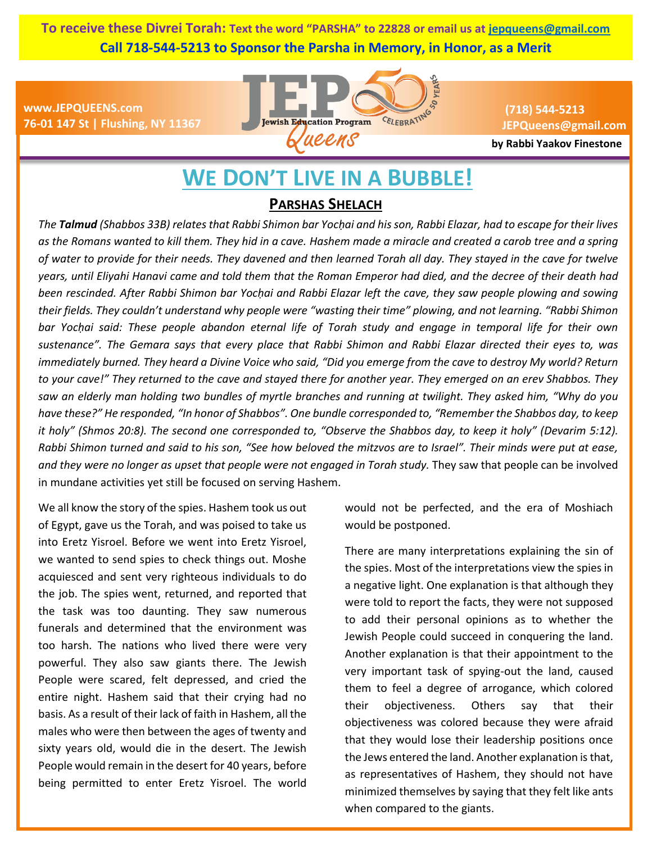**To receive these Divrei Torah: Text the word "PARSHA" to 22828 or email us at [jepqueens@gmail.com](mailto:jepqueens@gmail.com) Call 718-544-5213 to Sponsor the Parsha in Memory, in Honor, as a Merit**

**www.JEPQUEENS.com 76-01 147 St | Flushing, NY 11367**



**(718) 544-5213 JEPQueens@gmail.com**

**by Rabbi Yaakov Finestone**

# **WE DON'T LIVE IN A BUBBLE!**

## **PARSHAS SHELACH**

*The Talmud (Shabbos 33B) relates that Rabbi Shimon bar Yocḥai and his son, Rabbi Elazar, had to escape for their lives as the Romans wanted to kill them. They hid in a cave. Hashem made a miracle and created a carob tree and a spring of water to provide for their needs. They davened and then learned Torah all day. They stayed in the cave for twelve years, until Eliyahi Hanavi came and told them that the Roman Emperor had died, and the decree of their death had been rescinded. After Rabbi Shimon bar Yocḥai and Rabbi Elazar left the cave, they saw people plowing and sowing their fields. They couldn't understand why people were "wasting their time" plowing, and not learning. "Rabbi Shimon bar Yocḥai said: These people abandon eternal life of Torah study and engage in temporal life for their own sustenance". The Gemara says that every place that Rabbi Shimon and Rabbi Elazar directed their eyes to, was immediately burned. They heard a Divine Voice who said, "Did you emerge from the cave to destroy My world? Return to your cave!" They returned to the cave and stayed there for another year. They emerged on an erev Shabbos. They saw an elderly man holding two bundles of myrtle branches and running at twilight. They asked him, "Why do you have these?" He responded, "In honor of Shabbos". One bundle corresponded to, "Remember the Shabbos day, to keep it holy" (Shmos 20:8). The second one corresponded to, "Observe the Shabbos day, to keep it holy" (Devarim 5:12). Rabbi Shimon turned and said to his son, "See how beloved the mitzvos are to Israel". Their minds were put at ease, and they were no longer as upset that people were not engaged in Torah study.* They saw that people can be involved in mundane activities yet still be focused on serving Hashem.

We all know the story of the spies. Hashem took us out of Egypt, gave us the Torah, and was poised to take us into Eretz Yisroel. Before we went into Eretz Yisroel, we wanted to send spies to check things out. Moshe acquiesced and sent very righteous individuals to do the job. The spies went, returned, and reported that the task was too daunting. They saw numerous funerals and determined that the environment was too harsh. The nations who lived there were very powerful. They also saw giants there. The Jewish People were scared, felt depressed, and cried the entire night. Hashem said that their crying had no basis. As a result of their lack of faith in Hashem, all the males who were then between the ages of twenty and sixty years old, would die in the desert. The Jewish People would remain in the desert for 40 years, before being permitted to enter Eretz Yisroel. The world

would not be perfected, and the era of Moshiach would be postponed.

There are many interpretations explaining the sin of the spies. Most of the interpretations view the spies in a negative light. One explanation is that although they were told to report the facts, they were not supposed to add their personal opinions as to whether the Jewish People could succeed in conquering the land. Another explanation is that their appointment to the very important task of spying-out the land, caused them to feel a degree of arrogance, which colored their objectiveness. Others say that their objectiveness was colored because they were afraid that they would lose their leadership positions once the Jews entered the land. Another explanation is that, as representatives of Hashem, they should not have minimized themselves by saying that they felt like ants when compared to the giants.